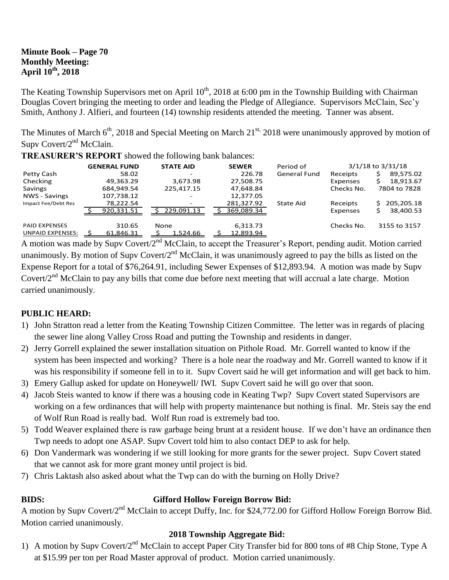#### **Minute Book – Page 70 Monthly Meeting: April 10th, 2018**

The Keating Township Supervisors met on April 10<sup>th</sup>, 2018 at 6:00 pm in the Township Building with Chairman Douglas Covert bringing the meeting to order and leading the Pledge of Allegiance. Supervisors McClain, Sec'y Smith, Anthony J. Alfieri, and fourteen (14) township residents attended the meeting. Tanner was absent.

The Minutes of March 6<sup>th</sup>, 2018 and Special Meeting on March 21<sup>st,</sup> 2018 were unanimously approved by motion of Supv Covert/2<sup>nd</sup> McClain.

**TREASURER'S REPORT** showed the following bank balances:

|                         | <b>GENERAL FUND</b> | <b>STATE AID</b>         | <b>SEWER</b> | Period of           |            | $3/1/18$ to $3/31/18$ |
|-------------------------|---------------------|--------------------------|--------------|---------------------|------------|-----------------------|
| Petty Cash              | 58.02               | -                        | 226.78       | <b>General Fund</b> | Receipts   | 89,575.02             |
| Checking                | 49,363.29           | 3,673.98                 | 27,508.75    |                     | Expenses   | 18,913.67             |
| Savings                 | 684,949.54          | 225,417.15               | 47,648.84    |                     | Checks No. | 7804 to 7828          |
| NWS - Savings           | 107,738.12          | $\overline{\phantom{a}}$ | 12,377.05    |                     |            |                       |
| Impact Fee/Debt Res     | 78,222.54           | -                        | 281,327.92   | State Aid           | Receipts   | 205,205.18<br>S.      |
|                         | 920,331.51          | 229.091.13               | 369,089.34   |                     | Expenses   | 38,400.53             |
| <b>PAID EXPENSES</b>    | 310.65              | <b>None</b>              | 6,313.73     |                     | Checks No. | 3155 to 3157          |
| <b>UNPAID EXPENSES:</b> | 61,846.31           | 1,524.66                 | 12,893.94    |                     |            |                       |

A motion was made by Supv Covert/2<sup>nd</sup> McClain, to accept the Treasurer's Report, pending audit. Motion carried unanimously. By motion of Supv Covert/ $2<sup>nd</sup>$  McClain, it was unanimously agreed to pay the bills as listed on the Expense Report for a total of \$76,264.91, including Sewer Expenses of \$12,893.94. A motion was made by Supv Covert/2<sup>nd</sup> McClain to pay any bills that come due before next meeting that will accrual a late charge. Motion carried unanimously.

# **PUBLIC HEARD:**

- 1) John Stratton read a letter from the Keating Township Citizen Committee. The letter was in regards of placing the sewer line along Valley Cross Road and putting the Township and residents in danger.
- 2) Jerry Gorrell explained the sewer installation situation on Pithole Road. Mr. Gorrell wanted to know if the system has been inspected and working? There is a hole near the roadway and Mr. Gorrell wanted to know if it was his responsibility if someone fell in to it. Supv Covert said he will get information and will get back to him.
- 3) Emery Gallup asked for update on Honeywell/ IWI. Supv Covert said he will go over that soon.
- 4) Jacob Steis wanted to know if there was a housing code in Keating Twp? Supv Covert stated Supervisors are working on a few ordinances that will help with property maintenance but nothing is final. Mr. Steis say the end of Wolf Run Road is really bad. Wolf Run road is extremely bad too.
- 5) Todd Weaver explained there is raw garbage being brunt at a resident house. If we don't have an ordinance then Twp needs to adopt one ASAP. Supv Covert told him to also contact DEP to ask for help.
- 6) Don Vandermark was wondering if we still looking for more grants for the sewer project. Supv Covert stated that we cannot ask for more grant money until project is bid.
- 7) Chris Laktash also asked about what the Twp can do with the burning on Holly Drive?

# **BIDS: Gifford Hollow Foreign Borrow Bid:**

A motion by Supv Covert/2<sup>nd</sup> McClain to accept Duffy, Inc. for \$24,772.00 for Gifford Hollow Foreign Borrow Bid. Motion carried unanimously.

# **2018 Township Aggregate Bid:**

1) A motion by Supv Covert/2<sup>nd</sup> McClain to accept Paper City Transfer bid for 800 tons of #8 Chip Stone, Type A at \$15.99 per ton per Road Master approval of product. Motion carried unanimously.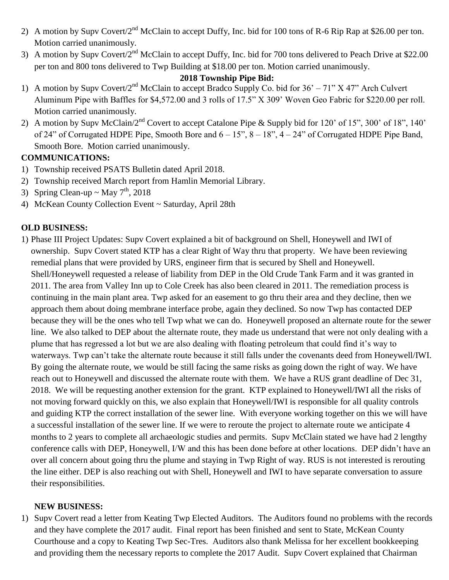- 2) A motion by Supv Covert/2<sup>nd</sup> McClain to accept Duffy, Inc. bid for 100 tons of R-6 Rip Rap at \$26.00 per ton. Motion carried unanimously.
- 3) A motion by Supv Covert/ $2^{nd}$  McClain to accept Duffy, Inc. bid for 700 tons delivered to Peach Drive at \$22.00 per ton and 800 tons delivered to Twp Building at \$18.00 per ton. Motion carried unanimously.

#### **2018 Township Pipe Bid:**

- 1) A motion by Supv Covert/2<sup>nd</sup> McClain to accept Bradco Supply Co. bid for 36' 71" X 47" Arch Culvert Aluminum Pipe with Baffles for \$4,572.00 and 3 rolls of 17.5" X 309' Woven Geo Fabric for \$220.00 per roll. Motion carried unanimously.
- 2) A motion by Supv McClain/ $2<sup>nd</sup>$  Covert to accept Catalone Pipe & Supply bid for 120' of 15", 300' of 18", 140' of 24" of Corrugated HDPE Pipe, Smooth Bore and  $6 - 15$ ",  $8 - 18$ ",  $4 - 24$ " of Corrugated HDPE Pipe Band, Smooth Bore. Motion carried unanimously.

# **COMMUNICATIONS:**

- 1) Township received PSATS Bulletin dated April 2018.
- 2) Township received March report from Hamlin Memorial Library.
- 3) Spring Clean-up ~ May  $7<sup>th</sup>$ , 2018
- 4) McKean County Collection Event ~ Saturday, April 28th

# **OLD BUSINESS:**

1) Phase III Project Updates: Supv Covert explained a bit of background on Shell, Honeywell and IWI of ownership. Supv Covert stated KTP has a clear Right of Way thru that property. We have been reviewing remedial plans that were provided by URS, engineer firm that is secured by Shell and Honeywell. Shell/Honeywell requested a release of liability from DEP in the Old Crude Tank Farm and it was granted in 2011. The area from Valley Inn up to Cole Creek has also been cleared in 2011. The remediation process is continuing in the main plant area. Twp asked for an easement to go thru their area and they decline, then we approach them about doing membrane interface probe, again they declined. So now Twp has contacted DEP because they will be the ones who tell Twp what we can do. Honeywell proposed an alternate route for the sewer line. We also talked to DEP about the alternate route, they made us understand that were not only dealing with a plume that has regressed a lot but we are also dealing with floating petroleum that could find it's way to waterways. Twp can't take the alternate route because it still falls under the covenants deed from Honeywell/IWI. By going the alternate route, we would be still facing the same risks as going down the right of way. We have reach out to Honeywell and discussed the alternate route with them. We have a RUS grant deadline of Dec 31, 2018. We will be requesting another extension for the grant. KTP explained to Honeywell/IWI all the risks of not moving forward quickly on this, we also explain that Honeywell/IWI is responsible for all quality controls and guiding KTP the correct installation of the sewer line. With everyone working together on this we will have a successful installation of the sewer line. If we were to reroute the project to alternate route we anticipate 4 months to 2 years to complete all archaeologic studies and permits. Supv McClain stated we have had 2 lengthy conference calls with DEP, Honeywell, I/W and this has been done before at other locations. DEP didn't have an over all concern about going thru the plume and staying in Twp Right of way. RUS is not interested is rerouting the line either. DEP is also reaching out with Shell, Honeywell and IWI to have separate conversation to assure their responsibilities.

#### **NEW BUSINESS:**

1) Supv Covert read a letter from Keating Twp Elected Auditors. The Auditors found no problems with the records and they have complete the 2017 audit. Final report has been finished and sent to State, McKean County Courthouse and a copy to Keating Twp Sec-Tres. Auditors also thank Melissa for her excellent bookkeeping and providing them the necessary reports to complete the 2017 Audit. Supv Covert explained that Chairman